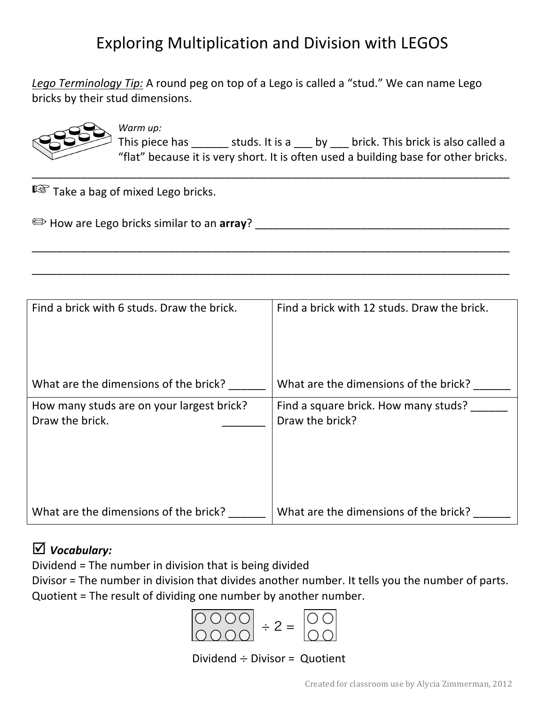## Exploring Multiplication and Division with LEGOS

\_\_\_\_\_\_\_\_\_\_\_\_\_\_\_\_\_\_\_\_\_\_\_\_\_\_\_\_\_\_\_\_\_\_\_\_\_\_\_\_\_\_\_\_\_\_\_\_\_\_\_\_\_\_\_\_\_\_\_\_\_\_\_\_\_\_\_\_\_\_\_\_\_\_\_\_\_

\_\_\_\_\_\_\_\_\_\_\_\_\_\_\_\_\_\_\_\_\_\_\_\_\_\_\_\_\_\_\_\_\_\_\_\_\_\_\_\_\_\_\_\_\_\_\_\_\_\_\_\_\_\_\_\_\_\_\_\_\_\_\_\_\_\_\_\_\_\_\_\_\_\_\_\_\_

\_\_\_\_\_\_\_\_\_\_\_\_\_\_\_\_\_\_\_\_\_\_\_\_\_\_\_\_\_\_\_\_\_\_\_\_\_\_\_\_\_\_\_\_\_\_\_\_\_\_\_\_\_\_\_\_\_\_\_\_\_\_\_\_\_\_\_\_\_\_\_\_\_\_\_\_\_

Lego Terminology Tip: A round peg on top of a Lego is called a "stud." We can name Lego bricks by their stud dimensions.



*Warm up:* This piece has  $\qquad \qquad$  studs. It is a  $\qquad \qquad$  by  $\qquad$  brick. This brick is also called a "flat" because it is very short. It is often used a building base for other bricks.

 $I\otimes$  Take a bag of mixed Lego bricks.

|  | How are Lego bricks similar to an array? |  |
|--|------------------------------------------|--|
|  |                                          |  |

| Find a brick with 6 studs. Draw the brick.                   | Find a brick with 12 studs. Draw the brick.             |
|--------------------------------------------------------------|---------------------------------------------------------|
| What are the dimensions of the brick?                        | What are the dimensions of the brick?                   |
| How many studs are on your largest brick?<br>Draw the brick. | Find a square brick. How many studs?<br>Draw the brick? |
| What are the dimensions of the brick?                        | What are the dimensions of the brick?                   |

## þ *Vocabulary:*

Dividend = The number in division that is being divided

Divisor = The number in division that divides another number. It tells you the number of parts. Quotient = The result of dividing one number by another number.



Dividend  $\div$  Divisor = Quotient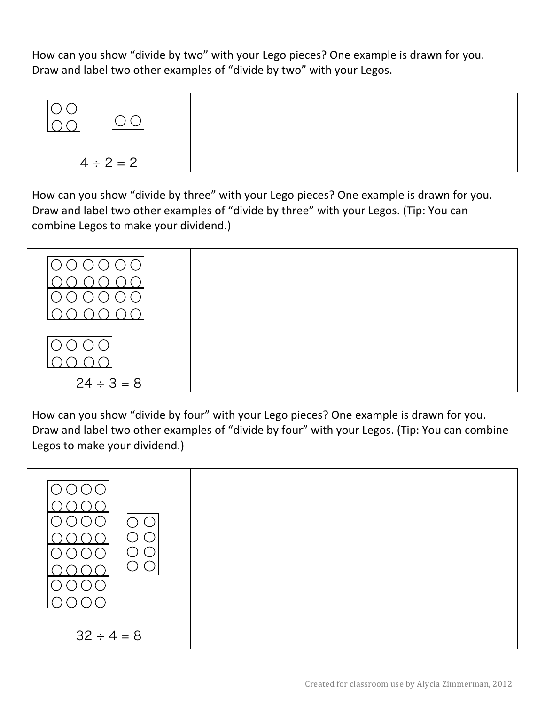How can you show "divide by two" with your Lego pieces? One example is drawn for you. Draw and label two other examples of "divide by two" with your Legos.



How can you show "divide by three" with your Lego pieces? One example is drawn for you. Draw and label two other examples of "divide by three" with your Legos. (Tip: You can combine Legos to make your dividend.)



How can you show "divide by four" with your Lego pieces? One example is drawn for you. Draw and label two other examples of "divide by four" with your Legos. (Tip: You can combine Legos to make your dividend.)

| $32 \div 4 = 8$ |  |
|-----------------|--|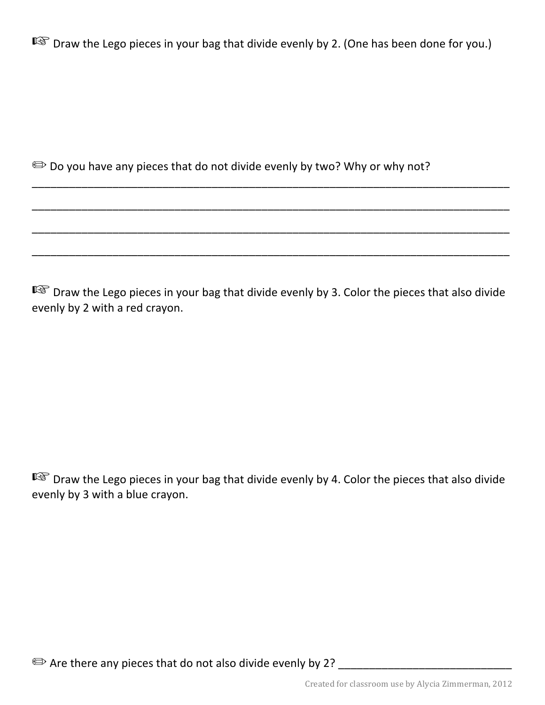$\mathbb{R}$  Draw the Lego pieces in your bag that divide evenly by 2. (One has been done for you.)

 $\implies$  Do you have any pieces that do not divide evenly by two? Why or why not?

■ Draw the Lego pieces in your bag that divide evenly by 3. Color the pieces that also divide evenly by 2 with a red crayon.

\_\_\_\_\_\_\_\_\_\_\_\_\_\_\_\_\_\_\_\_\_\_\_\_\_\_\_\_\_\_\_\_\_\_\_\_\_\_\_\_\_\_\_\_\_\_\_\_\_\_\_\_\_\_\_\_\_\_\_\_\_\_\_\_\_\_\_\_\_\_\_\_\_\_\_\_\_

\_\_\_\_\_\_\_\_\_\_\_\_\_\_\_\_\_\_\_\_\_\_\_\_\_\_\_\_\_\_\_\_\_\_\_\_\_\_\_\_\_\_\_\_\_\_\_\_\_\_\_\_\_\_\_\_\_\_\_\_\_\_\_\_\_\_\_\_\_\_\_\_\_\_\_\_\_

\_\_\_\_\_\_\_\_\_\_\_\_\_\_\_\_\_\_\_\_\_\_\_\_\_\_\_\_\_\_\_\_\_\_\_\_\_\_\_\_\_\_\_\_\_\_\_\_\_\_\_\_\_\_\_\_\_\_\_\_\_\_\_\_\_\_\_\_\_\_\_\_\_\_\_\_\_

\_\_\_\_\_\_\_\_\_\_\_\_\_\_\_\_\_\_\_\_\_\_\_\_\_\_\_\_\_\_\_\_\_\_\_\_\_\_\_\_\_\_\_\_\_\_\_\_\_\_\_\_\_\_\_\_\_\_\_\_\_\_\_\_\_\_\_\_\_\_\_\_\_\_\_\_\_

■ Draw the Lego pieces in your bag that divide evenly by 4. Color the pieces that also divide evenly by 3 with a blue crayon.

 $\implies$  Are there any pieces that do not also divide evenly by 2?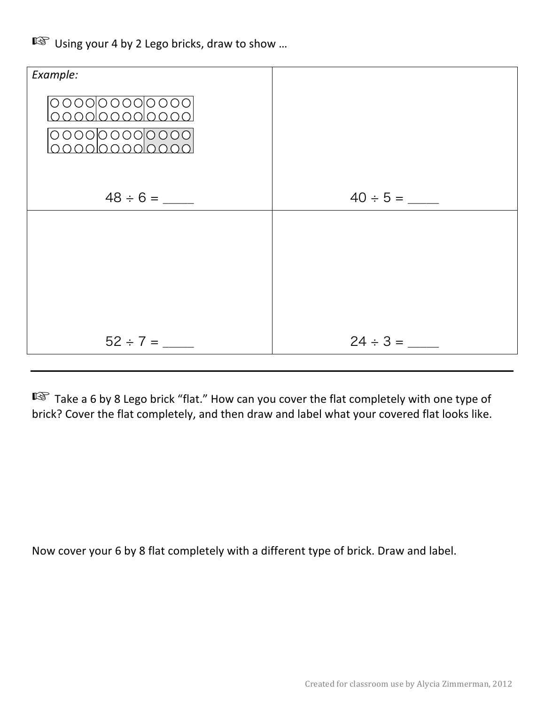■ Using your 4 by 2 Lego bricks, draw to show ...



 $\mathbb{R}$  Take a 6 by 8 Lego brick "flat." How can you cover the flat completely with one type of brick? Cover the flat completely, and then draw and label what your covered flat looks like.

Now cover your 6 by 8 flat completely with a different type of brick. Draw and label.